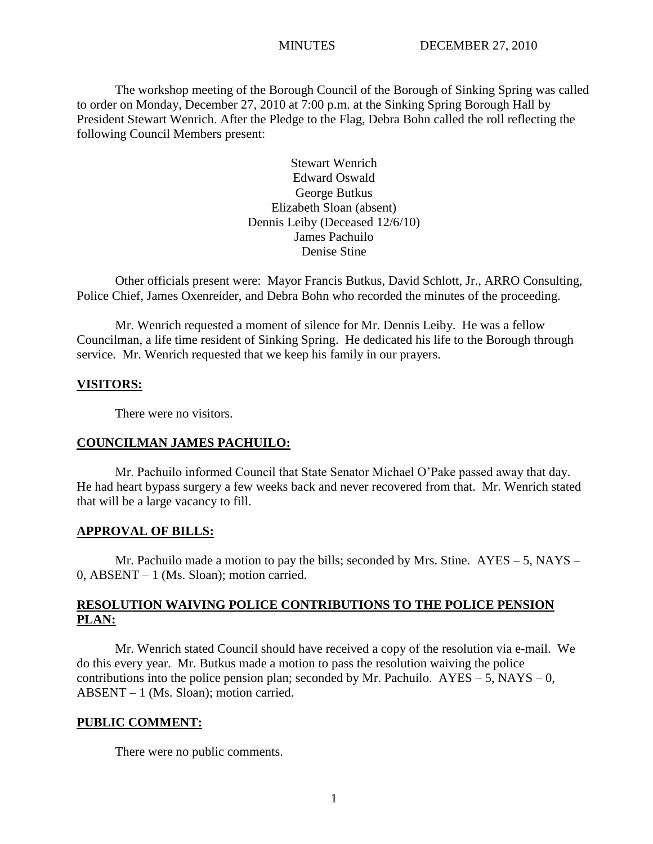The workshop meeting of the Borough Council of the Borough of Sinking Spring was called to order on Monday, December 27, 2010 at 7:00 p.m. at the Sinking Spring Borough Hall by President Stewart Wenrich. After the Pledge to the Flag, Debra Bohn called the roll reflecting the following Council Members present:

> Stewart Wenrich Edward Oswald George Butkus Elizabeth Sloan (absent) Dennis Leiby (Deceased 12/6/10) James Pachuilo Denise Stine

Other officials present were: Mayor Francis Butkus, David Schlott, Jr., ARRO Consulting, Police Chief, James Oxenreider, and Debra Bohn who recorded the minutes of the proceeding.

Mr. Wenrich requested a moment of silence for Mr. Dennis Leiby. He was a fellow Councilman, a life time resident of Sinking Spring. He dedicated his life to the Borough through service. Mr. Wenrich requested that we keep his family in our prayers.

## **VISITORS:**

There were no visitors.

## **COUNCILMAN JAMES PACHUILO:**

Mr. Pachuilo informed Council that State Senator Michael O'Pake passed away that day. He had heart bypass surgery a few weeks back and never recovered from that. Mr. Wenrich stated that will be a large vacancy to fill.

## **APPROVAL OF BILLS:**

Mr. Pachuilo made a motion to pay the bills; seconded by Mrs. Stine. AYES – 5, NAYS – 0, ABSENT – 1 (Ms. Sloan); motion carried.

# **RESOLUTION WAIVING POLICE CONTRIBUTIONS TO THE POLICE PENSION PLAN:**

Mr. Wenrich stated Council should have received a copy of the resolution via e-mail. We do this every year. Mr. Butkus made a motion to pass the resolution waiving the police contributions into the police pension plan; seconded by Mr. Pachuilo.  $AYES - 5$ ,  $NAYS - 0$ , ABSENT – 1 (Ms. Sloan); motion carried.

## **PUBLIC COMMENT:**

There were no public comments.